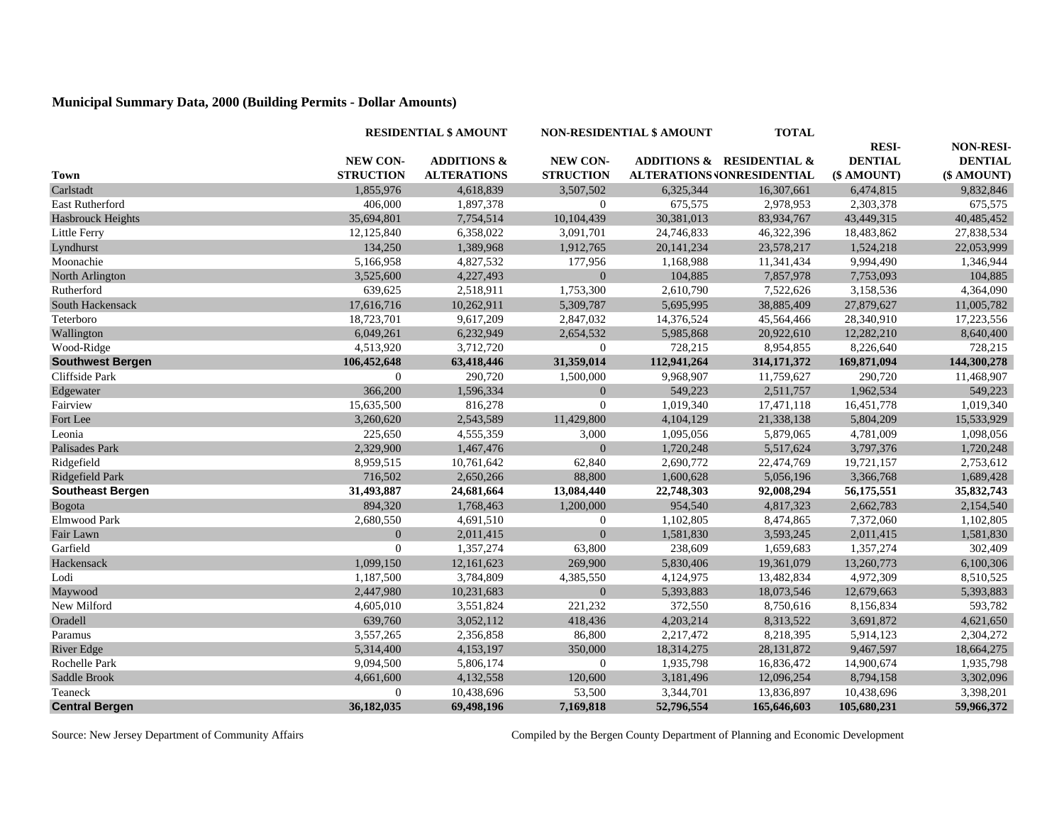## **Municipal Summary Data, 2000 (Building Permits - Dollar Amounts)**

|                          |                  | <b>RESIDENTIAL \$ AMOUNT</b> |                  | <b>NON-RESIDENTIAL \$ AMOUNT</b> |                            | <b>RESI-</b>   | <b>NON-RESI-</b> |
|--------------------------|------------------|------------------------------|------------------|----------------------------------|----------------------------|----------------|------------------|
|                          |                  |                              |                  |                                  |                            |                |                  |
|                          | <b>NEW CON-</b>  | <b>ADDITIONS &amp;</b>       | <b>NEW CON-</b>  |                                  | ADDITIONS & RESIDENTIAL &  | <b>DENTIAL</b> | <b>DENTIAL</b>   |
| <b>Town</b>              | <b>STRUCTION</b> | <b>ALTERATIONS</b>           | <b>STRUCTION</b> |                                  | ALTERATIONS JONRESIDENTIAL | (\$ AMOUNT)    | (\$ AMOUNT)      |
| Carlstadt                | 1,855,976        | 4,618,839                    | 3,507,502        | 6,325,344                        | 16,307,661                 | 6,474,815      | 9,832,846        |
| East Rutherford          | 406,000          | 1,897,378                    | $\overline{0}$   | 675,575                          | 2,978,953                  | 2,303,378      | 675,575          |
| <b>Hasbrouck Heights</b> | 35,694,801       | 7,754,514                    | 10,104,439       | 30,381,013                       | 83,934,767                 | 43,449,315     | 40,485,452       |
| Little Ferry             | 12,125,840       | 6,358,022                    | 3,091,701        | 24,746,833                       | 46,322,396                 | 18,483,862     | 27,838,534       |
| Lyndhurst                | 134,250          | 1,389,968                    | 1,912,765        | 20,141,234                       | 23,578,217                 | 1,524,218      | 22,053,999       |
| Moonachie                | 5,166,958        | 4,827,532                    | 177,956          | 1,168,988                        | 11,341,434                 | 9,994,490      | 1,346,944        |
| North Arlington          | 3,525,600        | 4,227,493                    | $\overline{0}$   | 104,885                          | 7,857,978                  | 7,753,093      | 104,885          |
| Rutherford               | 639,625          | 2,518,911                    | 1,753,300        | 2,610,790                        | 7,522,626                  | 3,158,536      | 4,364,090        |
| South Hackensack         | 17,616,716       | 10,262,911                   | 5,309,787        | 5,695,995                        | 38,885,409                 | 27,879,627     | 11,005,782       |
| Teterboro                | 18,723,701       | 9,617,209                    | 2,847,032        | 14,376,524                       | 45,564,466                 | 28,340,910     | 17,223,556       |
| Wallington               | 6,049,261        | 6,232,949                    | 2,654,532        | 5,985,868                        | 20,922,610                 | 12,282,210     | 8,640,400        |
| Wood-Ridge               | 4,513,920        | 3,712,720                    | $\overline{0}$   | 728,215                          | 8,954,855                  | 8,226,640      | 728,215          |
| <b>Southwest Bergen</b>  | 106,452,648      | 63,418,446                   | 31,359,014       | 112,941,264                      | 314, 171, 372              | 169,871,094    | 144,300,278      |
| Cliffside Park           | $\mathbf{0}$     | 290,720                      | 1,500,000        | 9,968,907                        | 11,759,627                 | 290,720        | 11,468,907       |
| Edgewater                | 366,200          | 1,596,334                    | $\mathbf{0}$     | 549,223                          | 2,511,757                  | 1,962,534      | 549,223          |
| Fairview                 | 15,635,500       | 816,278                      | $\overline{0}$   | 1,019,340                        | 17,471,118                 | 16,451,778     | 1,019,340        |
| Fort Lee                 | 3,260,620        | 2,543,589                    | 11,429,800       | 4,104,129                        | 21,338,138                 | 5,804,209      | 15,533,929       |
| Leonia                   | 225,650          | 4,555,359                    | 3,000            | 1,095,056                        | 5,879,065                  | 4,781,009      | 1,098,056        |
| Palisades Park           | 2,329,900        | 1,467,476                    | $\overline{0}$   | 1,720,248                        | 5,517,624                  | 3,797,376      | 1,720,248        |
| Ridgefield               | 8,959,515        | 10,761,642                   | 62,840           | 2,690,772                        | 22,474,769                 | 19,721,157     | 2,753,612        |
| Ridgefield Park          | 716,502          | 2,650,266                    | 88,800           | 1,600,628                        | 5,056,196                  | 3,366,768      | 1,689,428        |
| <b>Southeast Bergen</b>  | 31,493,887       | 24,681,664                   | 13,084,440       | 22,748,303                       | 92,008,294                 | 56,175,551     | 35,832,743       |
| Bogota                   | 894,320          | 1,768,463                    | 1,200,000        | 954,540                          | 4,817,323                  | 2,662,783      | 2,154,540        |
| Elmwood Park             | 2,680,550        | 4,691,510                    | $\overline{0}$   | 1,102,805                        | 8,474,865                  | 7,372,060      | 1,102,805        |
| Fair Lawn                | $\overline{0}$   | 2,011,415                    | $\overline{0}$   | 1,581,830                        | 3,593,245                  | 2,011,415      | 1,581,830        |
| Garfield                 | $\boldsymbol{0}$ | 1,357,274                    | 63,800           | 238,609                          | 1,659,683                  | 1,357,274      | 302,409          |
| Hackensack               | 1,099,150        | 12,161,623                   | 269,900          | 5,830,406                        | 19,361,079                 | 13,260,773     | 6,100,306        |
| Lodi                     | 1,187,500        | 3,784,809                    | 4,385,550        | 4,124,975                        | 13,482,834                 | 4,972,309      | 8,510,525        |
| Maywood                  | 2,447,980        | 10,231,683                   | $\overline{0}$   | 5,393,883                        | 18,073,546                 | 12,679,663     | 5,393,883        |
| New Milford              | 4,605,010        | 3,551,824                    | 221,232          | 372,550                          | 8,750,616                  | 8,156,834      | 593,782          |
| Oradell                  | 639,760          | 3,052,112                    | 418,436          | 4,203,214                        | 8,313,522                  | 3,691,872      | 4,621,650        |
| Paramus                  | 3,557,265        | 2,356,858                    | 86,800           | 2,217,472                        | 8,218,395                  | 5,914,123      | 2,304,272        |
| <b>River Edge</b>        | 5,314,400        | 4,153,197                    | 350,000          | 18,314,275                       | 28, 131, 872               | 9,467,597      | 18,664,275       |
| Rochelle Park            | 9,094,500        | 5,806,174                    | $\overline{0}$   | 1,935,798                        | 16,836,472                 | 14,900,674     | 1,935,798        |
| Saddle Brook             | 4,661,600        | 4,132,558                    | 120,600          | 3,181,496                        | 12,096,254                 | 8,794,158      | 3,302,096        |
| Teaneck                  | $\overline{0}$   | 10,438,696                   | 53,500           | 3,344,701                        | 13,836,897                 | 10,438,696     | 3,398,201        |
| <b>Central Bergen</b>    | 36,182,035       | 69,498,196                   | 7,169,818        | 52,796,554                       | 165,646,603                | 105,680,231    | 59,966,372       |

Source: New Jersey Department of Community Affairs Compiled by the Bergen County Department of Planning and Economic Development